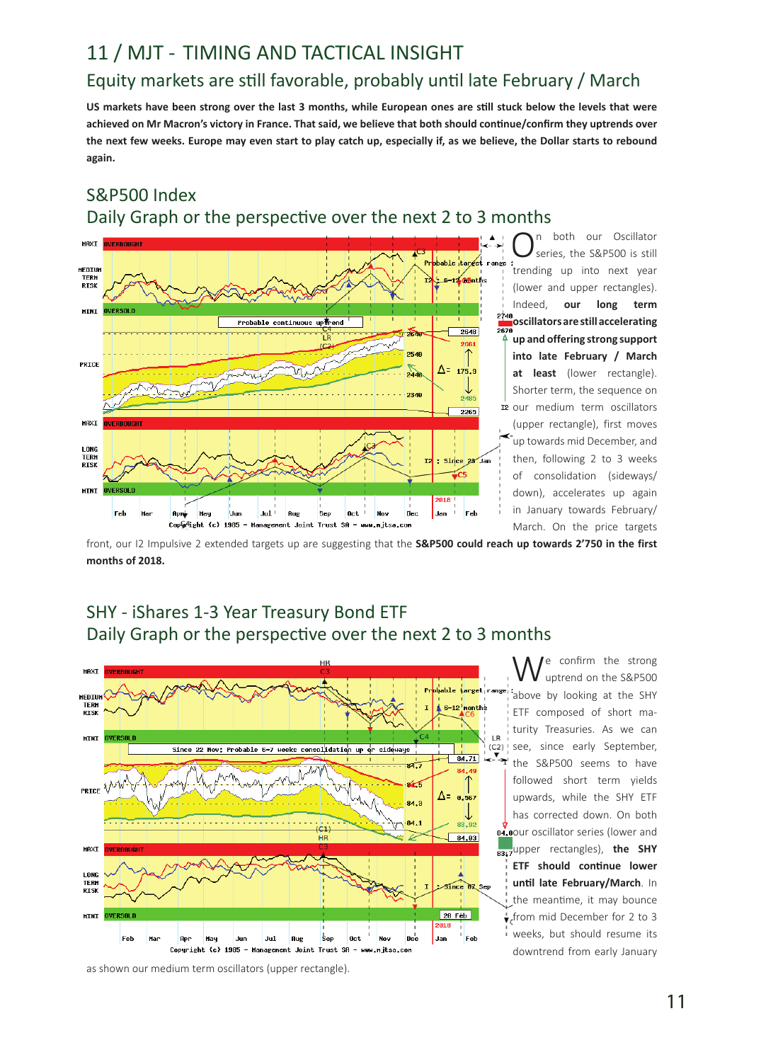# Equity markets are still favorable, probably until late February / March 11 / MJT - TIMING AND TACTICAL INSIGHT

**US markets have been strong over the last 3 months, while European ones are still stuck below the levels that were achieved on Mr Macron's victory in France. That said, we believe that both should continue/confirm they uptrends over the next few weeks. Europe may even start to play catch up, especially if, as we believe, the Dollar starts to rebound again.** 



S&P500 Index Daily Graph or the perspective over the next 2 to 3 months

 $\bigcap_{s}^{n}$  both our Oscillator<br>
series, the S&P500 is still trending up into next year (lower and upper rectangles). Indeed, **our long term oscillators are still accelerating up and offering strong support into late February / March at least** (lower rectangle). Shorter term, the sequence on 12 our medium term oscillators (upper rectangle), first moves up towards mid December, and then, following 2 to 3 weeks of consolidation (sideways/ down), accelerates up again in January towards February/ March. On the price targets

front, our I2 Impulsive 2 extended targets up are suggesting that the **S&P500 could reach up towards 2'750 in the first months of 2018.** 

# SHY - iShares 1-3 Year Treasury Bond ETF Daily Graph or the perspective over the next 2 to 3 months



We confirm the strong<br>
University on the S&P500 above by looking at the SHY ETF composed of short maturity Treasuries. As we can see, since early September, the S&P500 seems to have followed short term yields upwards, while the SHY ETF has corrected down. On both 84.80ur oscillator series (lower and upper rectangles), **the SHY ETF should continue lower until late February/March**. In the meantime, it may bounce from mid December for 2 to 3 weeks, but should resume its downtrend from early January

as shown our medium term oscillators (upper rectangle).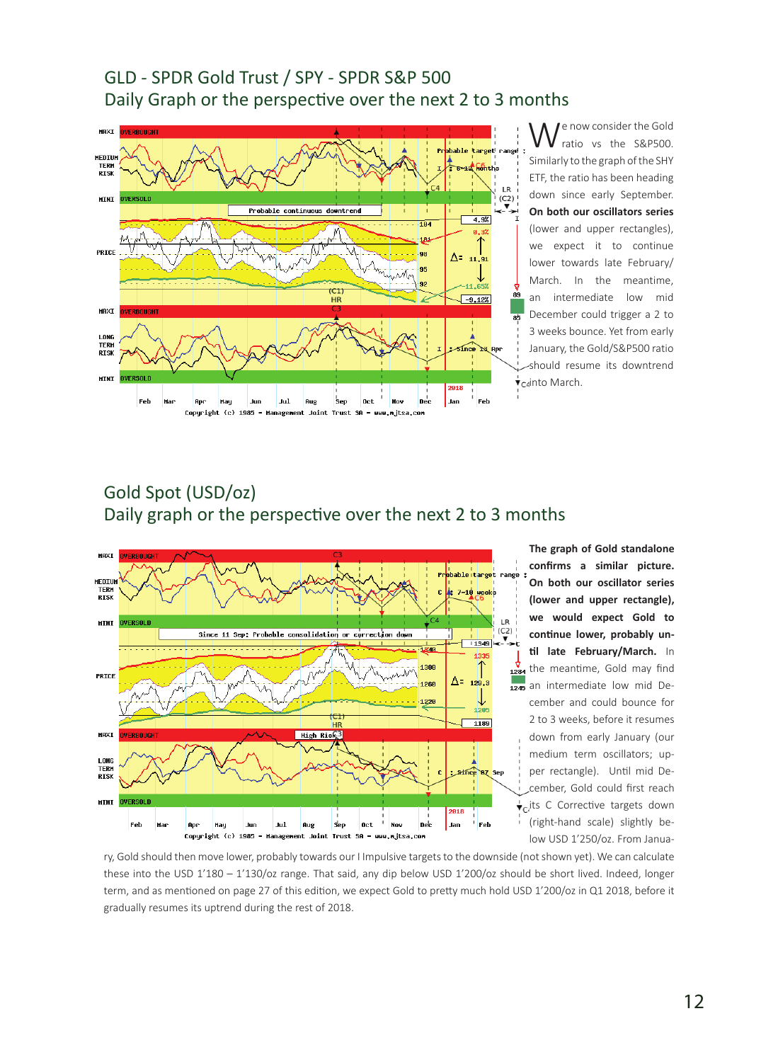# GLD - SPDR Gold Trust / SPY - SPDR S&P 500 Daily Graph or the perspective over the next 2 to 3 months



e now consider the Gold ratio vs the S&P500. Similarly to the graph of the SHY ETF, the ratio has been heading down since early September. **On both our oscillators series**  (lower and upper rectangles), we expect it to continue lower towards late February/ March. In the meantime, an intermediate low mid December could trigger a 2 to 3 weeks bounce. Yet from early January, the Gold/S&P500 ratio should resume its downtrend v<sub>c4</sub>into March.

# Gold Spot (USD/oz) Daily graph or the perspective over the next 2 to 3 months



**The graph of Gold standalone confirms a similar picture. On both our oscillator series (lower and upper rectangle), we would expect Gold to continue lower, probably until late February/March.** In  $\frac{v}{1284}$  the meantime, Gold may find an intermediate low mid December and could bounce for 2 to 3 weeks, before it resumes down from early January (our medium term oscillators; upper rectangle). Until mid December, Gold could first reach  $\overrightarrow{ }_{c}$ , its C Corrective targets down (right-hand scale) slightly below USD 1'250/oz. From Janua-

ry, Gold should then move lower, probably towards our I Impulsive targets to the downside (not shown yet). We can calculate these into the USD 1'180 - 1'130/oz range. That said, any dip below USD 1'200/oz should be short lived. Indeed, longer term, and as mentioned on page 27 of this edition, we expect Gold to pretty much hold USD 1'200/oz in Q1 2018, before it gradually resumes its uptrend during the rest of 2018.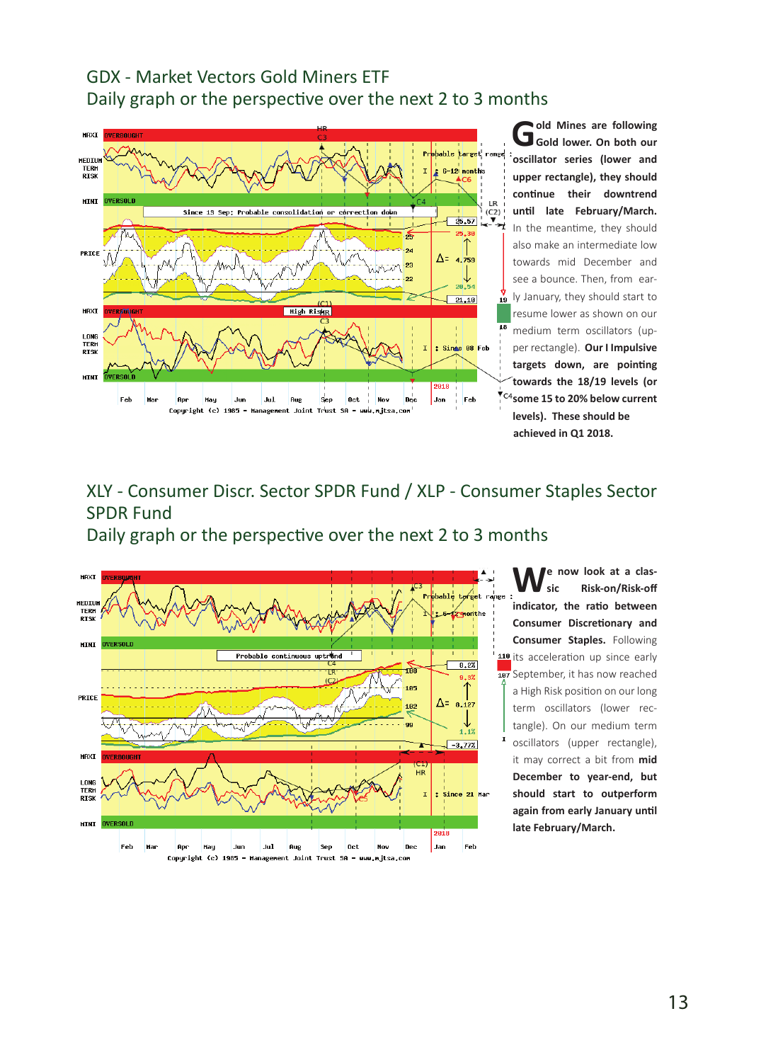# GDX - Market Vectors Gold Miners ETF Daily graph or the perspective over the next 2 to 3 months



XLY - Consumer Discr. Sector SPDR Fund / XLP - Consumer Staples Sector SPDR Fund

Daily graph or the perspective over the next 2 to 3 months



**We now look at a classic Risk-on/Risk-off indicator, the ratio between Consumer Discretionary and Consumer Staples.** Following 118 its acceleration up since early 187 September, it has now reached a High Risk position on our long term oscillators (lower rectangle). On our medium term oscillators (upper rectangle), it may correct a bit from **mid December to year-end, but should start to outperform again from early January until late February/March.**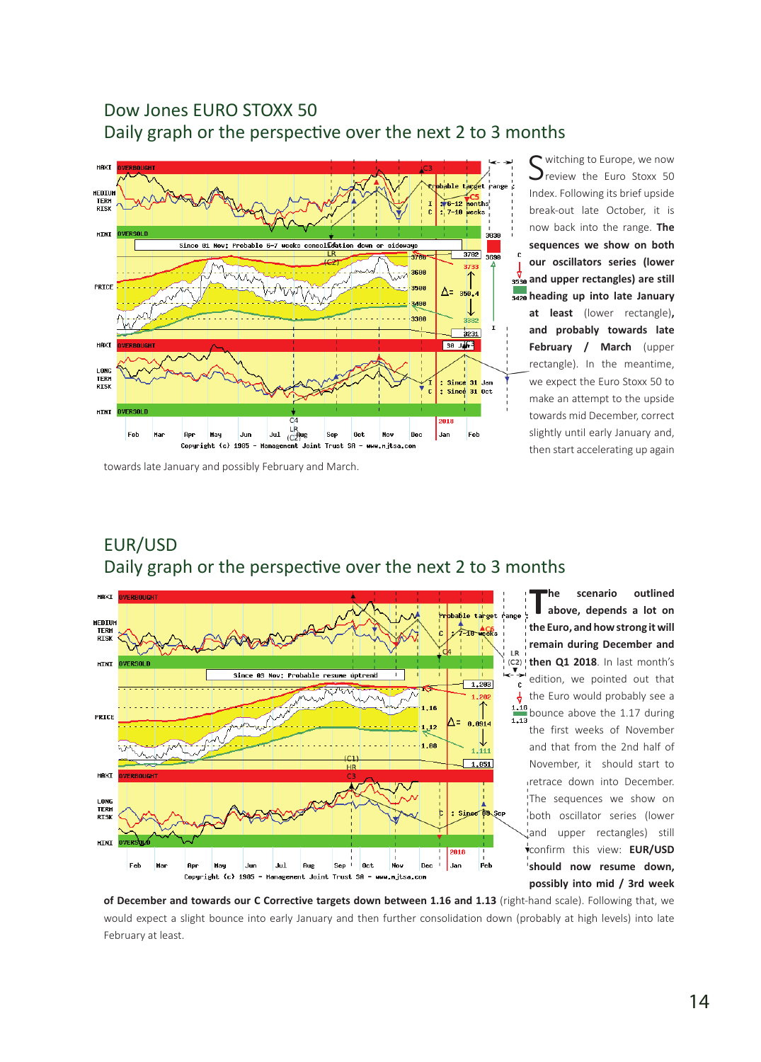# Dow Jones EURO STOXX 50 Daily graph or the perspective over the next 2 to 3 months



Switching to Europe, we now<br>Sineview the Euro Stoxx 50 Index. Following its brief upside break-out late October, it is now back into the range. **The sequences we show on both our oscillators series (lower**   $\frac{v}{3530}$  and upper rectangles) are still **heading up into late January at least** (lower rectangle)**, and probably towards late February / March** (upper rectangle). In the meantime, we expect the Euro Stoxx 50 to make an attempt to the upside towards mid December, correct slightly until early January and, then start accelerating up again

#### towards late January and possibly February and March.

EUR/USD



**The scenario outlined above, depends a lot on the Euro, and how strong it will remain during December and then Q1 2018**. In last month's edition, we pointed out that the Euro would probably see a bounce above the 1.17 during the first weeks of November and that from the 2nd half of November, it should start to retrace down into December. The sequences we show on both oscillator series (lower and upper rectangles) still confirm this view: **EUR/USD should now resume down, possibly into mid / 3rd week** 

**of December and towards our C Corrective targets down between 1.16 and 1.13** (right-hand scale). Following that, we would expect a slight bounce into early January and then further consolidation down (probably at high levels) into late February at least.

### 14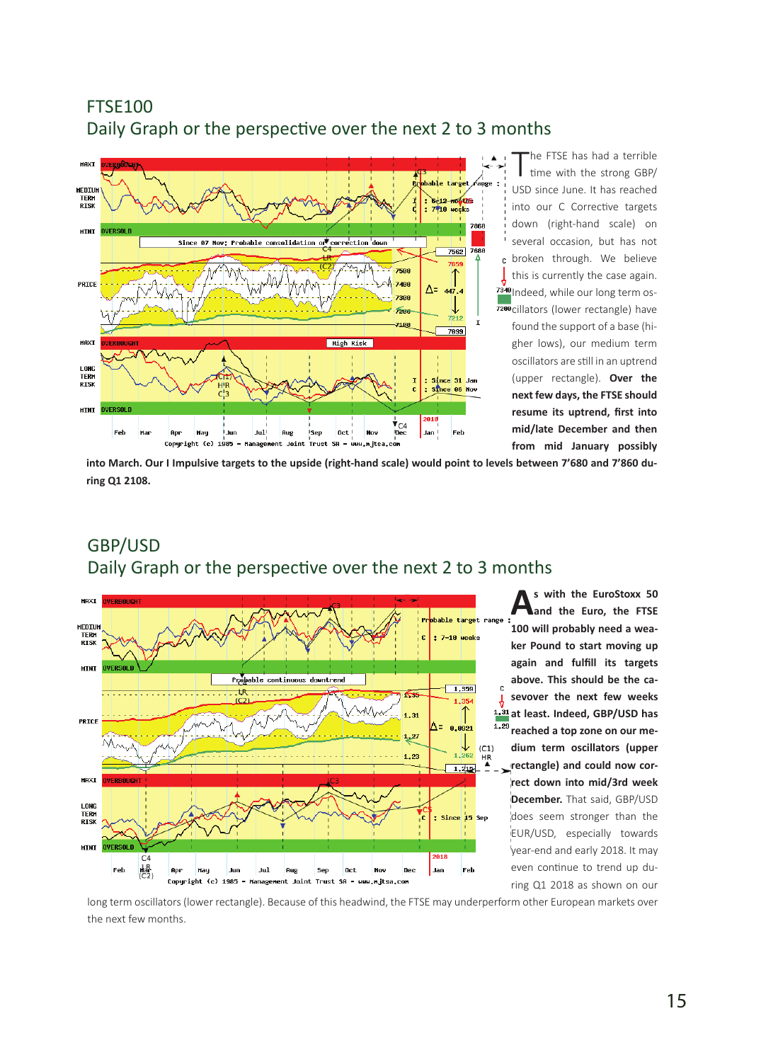# FTSE100 Daily Graph or the perspective over the next 2 to 3 months



The FTSE has had a terrible<br>time with the strong GBP/ USD since June. It has reached into our C Corrective targets down (right-hand scale) on several occasion, but has not broken through. We believe this is currently the case again. <sup>7340</sup> Indeed, while our long term os-7200 cillators (lower rectangle) have found the support of a base (higher lows), our medium term oscillators are still in an uptrend (upper rectangle). **Over the next few days, the FTSE should resume its uptrend, first into mid/late December and then from mid January possibly** 

**into March. Our I Impulsive targets to the upside (right-hand scale) would point to levels between 7'680 and 7'860 during Q1 2108.**



# GBP/USD Daily Graph or the perspective over the next 2 to 3 months

**As with the EuroStoxx 50 and the Euro, the FTSE 100 will probably need a weaker Pound to start moving up again and fulfill its targets above. This should be the casevover the next few weeks at least. Indeed, GBP/USD has reached a top zone on our medium term oscillators (upper rectangle) and could now correct down into mid/3rd week December.** That said, GBP/USD does seem stronger than the EUR/USD, especially towards year-end and early 2018. It may even continue to trend up during Q1 2018 as shown on our

long term oscillators (lower rectangle). Because of this headwind, the FTSE may underperform other European markets over the next few months.